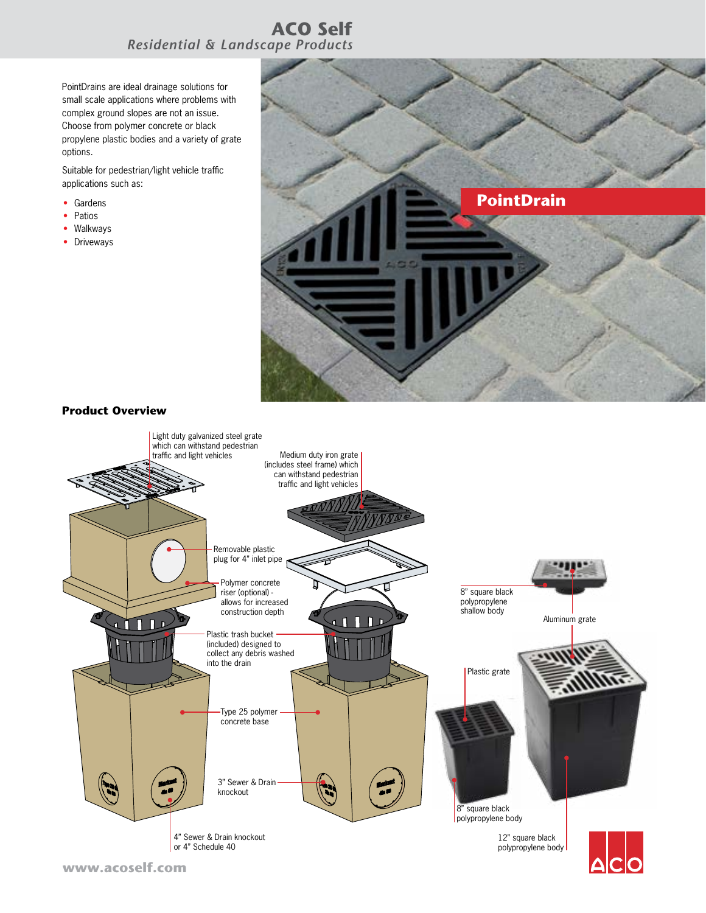## **ACO Self** *Residential & Landscape Products*

PointDrains are ideal drainage solutions for small scale applications where problems with complex ground slopes are not an issue. Choose from polymer concrete or black propylene plastic bodies and a variety of grate options.

Suitable for pedestrian/light vehicle traffic applications such as:

- Gardens
- Patios
- Walkways
- Driveways



## **Product Overview**